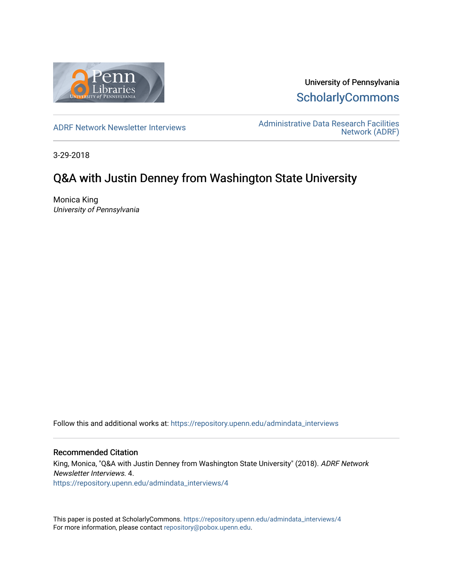

University of Pennsylvania **ScholarlyCommons** 

[ADRF Network Newsletter Interviews](https://repository.upenn.edu/admindata_interviews) [Administrative Data Research Facilities](https://repository.upenn.edu/admindata)  [Network \(ADRF\)](https://repository.upenn.edu/admindata) 

3-29-2018

# Q&A with Justin Denney from Washington State University

Monica King University of Pennsylvania

Follow this and additional works at: [https://repository.upenn.edu/admindata\\_interviews](https://repository.upenn.edu/admindata_interviews?utm_source=repository.upenn.edu%2Fadmindata_interviews%2F4&utm_medium=PDF&utm_campaign=PDFCoverPages) 

#### Recommended Citation

King, Monica, "Q&A with Justin Denney from Washington State University" (2018). ADRF Network Newsletter Interviews. 4. [https://repository.upenn.edu/admindata\\_interviews/4](https://repository.upenn.edu/admindata_interviews/4?utm_source=repository.upenn.edu%2Fadmindata_interviews%2F4&utm_medium=PDF&utm_campaign=PDFCoverPages) 

This paper is posted at ScholarlyCommons. [https://repository.upenn.edu/admindata\\_interviews/4](https://repository.upenn.edu/admindata_interviews/4) For more information, please contact [repository@pobox.upenn.edu.](mailto:repository@pobox.upenn.edu)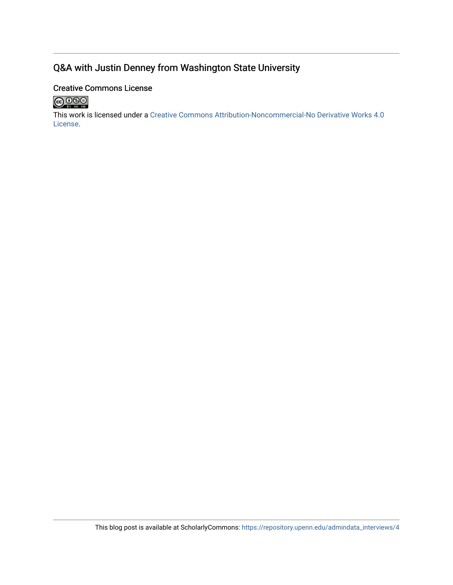## Q&A with Justin Denney from Washington State University

## Creative Commons License



This work is licensed under a [Creative Commons Attribution-Noncommercial-No Derivative Works 4.0](http://creativecommons.org/licenses/by-nc-nd/4.0/) [License](http://creativecommons.org/licenses/by-nc-nd/4.0/).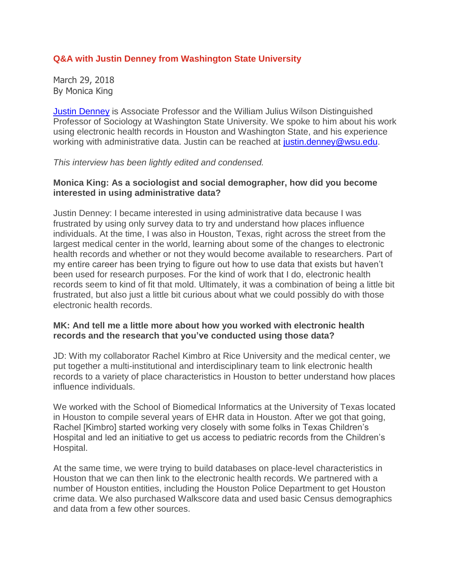## **Q&A with Justin Denney from Washington State University**

March 29, 2018 By Monica King

Justin [Denney](https://soc.wsu.edu/denney-justin/) is Associate Professor and the William Julius Wilson Distinguished Professor of Sociology at Washington State University. We spoke to him about his work using electronic health records in Houston and Washington State, and his experience working with administrative data. Justin can be reached at [justin.denney@wsu.edu.](mailto:justin.denney@wsu.edu)

#### *This interview has been lightly edited and condensed.*

### **Monica King: As a sociologist and social demographer, how did you become interested in using administrative data?**

Justin Denney: I became interested in using administrative data because I was frustrated by using only survey data to try and understand how places influence individuals. At the time, I was also in Houston, Texas, right across the street from the largest medical center in the world, learning about some of the changes to electronic health records and whether or not they would become available to researchers. Part of my entire career has been trying to figure out how to use data that exists but haven't been used for research purposes. For the kind of work that I do, electronic health records seem to kind of fit that mold. Ultimately, it was a combination of being a little bit frustrated, but also just a little bit curious about what we could possibly do with those electronic health records.

### **MK: And tell me a little more about how you worked with electronic health records and the research that you've conducted using those data?**

JD: With my collaborator Rachel Kimbro at Rice University and the medical center, we put together a multi-institutional and interdisciplinary team to link electronic health records to a variety of place characteristics in Houston to better understand how places influence individuals.

We worked with the School of Biomedical Informatics at the University of Texas located in Houston to compile several years of EHR data in Houston. After we got that going, Rachel [Kimbro] started working very closely with some folks in Texas Children's Hospital and led an initiative to get us access to pediatric records from the Children's Hospital.

At the same time, we were trying to build databases on place-level characteristics in Houston that we can then link to the electronic health records. We partnered with a number of Houston entities, including the Houston Police Department to get Houston crime data. We also purchased Walkscore data and used basic Census demographics and data from a few other sources.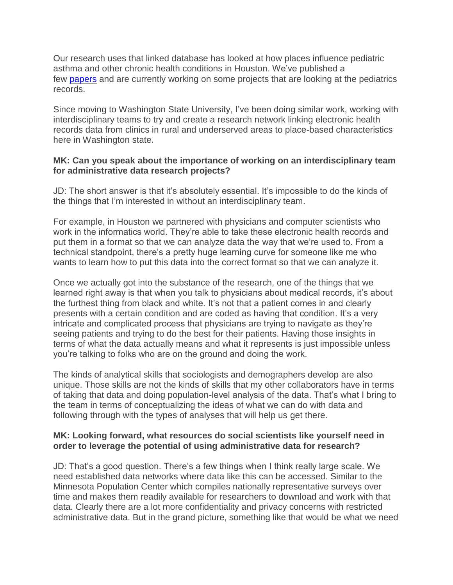Our research uses that linked database has looked at how places influence pediatric asthma and other chronic health conditions in Houston. We've published a few [papers](https://www.sciencedirect.com/science/article/pii/S1353829217300667) and are currently working on some projects that are looking at the pediatrics records.

Since moving to Washington State University, I've been doing similar work, working with interdisciplinary teams to try and create a research network linking electronic health records data from clinics in rural and underserved areas to place-based characteristics here in Washington state.

### **MK: Can you speak about the importance of working on an interdisciplinary team for administrative data research projects?**

JD: The short answer is that it's absolutely essential. It's impossible to do the kinds of the things that I'm interested in without an interdisciplinary team.

For example, in Houston we partnered with physicians and computer scientists who work in the informatics world. They're able to take these electronic health records and put them in a format so that we can analyze data the way that we're used to. From a technical standpoint, there's a pretty huge learning curve for someone like me who wants to learn how to put this data into the correct format so that we can analyze it.

Once we actually got into the substance of the research, one of the things that we learned right away is that when you talk to physicians about medical records, it's about the furthest thing from black and white. It's not that a patient comes in and clearly presents with a certain condition and are coded as having that condition. It's a very intricate and complicated process that physicians are trying to navigate as they're seeing patients and trying to do the best for their patients. Having those insights in terms of what the data actually means and what it represents is just impossible unless you're talking to folks who are on the ground and doing the work.

The kinds of analytical skills that sociologists and demographers develop are also unique. Those skills are not the kinds of skills that my other collaborators have in terms of taking that data and doing population-level analysis of the data. That's what I bring to the team in terms of conceptualizing the ideas of what we can do with data and following through with the types of analyses that will help us get there.

## **MK: Looking forward, what resources do social scientists like yourself need in order to leverage the potential of using administrative data for research?**

JD: That's a good question. There's a few things when I think really large scale. We need established data networks where data like this can be accessed. Similar to the Minnesota Population Center which compiles nationally representative surveys over time and makes them readily available for researchers to download and work with that data. Clearly there are a lot more confidentiality and privacy concerns with restricted administrative data. But in the grand picture, something like that would be what we need